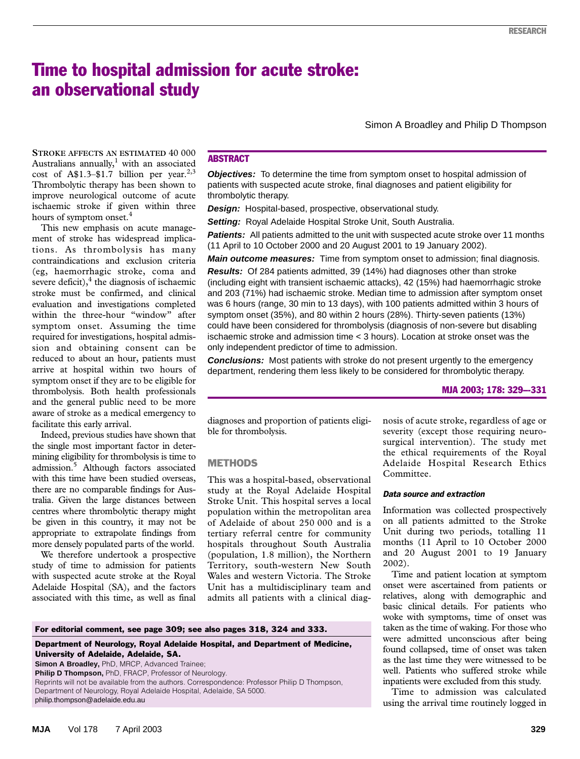# Time to hospital admission for acute stroke: an observational study

Simon A Broadley and Philip D Thompson

cost of A\$1.3–\$1.7 billion per year.<sup>2,3</sup> Thrombolytic therapy has been shown to improve neurological outcome of acute ischaemic stroke if given within three  $R_{\text{E}}$  hours of symptom onset.<sup>4</sup> **STROKE AFFECTS AN ESTIMATED** 40 000 Australians annually, $1$  with an associated

This new emphasis on acute management of stroke has widespread implications. As thrombolysis has many contraindications and exclusion criteria (eg, haemorrhagic stroke, coma and severe deficit), $<sup>4</sup>$  the diagnosis of ischaemic</sup> stroke must be confirmed, and clinical evaluation and investigations completed within the three-hour "window" after symptom onset. Assuming the time required for investigations, hospital admission and obtaining consent can be reduced to about an hour, patients must arrive at hospital within two hours of symptom onset if they are to be eligible for thrombolysis. Both health professionals and the general public need to be more aware of stroke as a medical emergency to facilitate this early arrival.

Indeed, previous studies have shown that the single most important factor in determining eligibility for thrombolysis is time to admission.<sup>5</sup> Although factors associated with this time have been studied overseas, there are no comparable findings for Australia. Given the large distances between centres where thrombolytic therapy might be given in this country, it may not be appropriate to extrapolate findings from more densely populated parts of the world.

We therefore undertook a prospective study of time to admission for patients with suspected acute stroke at the Royal Adelaide Hospital (SA), and the factors associated with this time, as well as final

# **ABSTRACT**

**Objectives:** To determine the time from symptom onset to hospital admission of patients with suspected acute stroke, final diagnoses and patient eligibility for thrombolytic therapy.

**Design:** Hospital-based, prospective, observational study.

**Setting:** Royal Adelaide Hospital Stroke Unit, South Australia.

**Patients:** All patients admitted to the unit with suspected acute stroke over 11 months (11 April to 10 October 2000 and 20 August 2001 to 19 January 2002).

**Main outcome measures:** Time from symptom onset to admission; final diagnosis.

**Results:** Of 284 patients admitted, 39 (14%) had diagnoses other than stroke (including eight with transient ischaemic attacks), 42 (15%) had haemorrhagic stroke and 203 (71%) had ischaemic stroke. Median time to admission after symptom onset was 6 hours (range, 30 min to 13 days), with 100 patients admitted within 3 hours of symptom onset (35%), and 80 within 2 hours (28%). Thirty-seven patients (13%) could have been considered for thrombolysis (diagnosis of non-severe but disabling ischaemic stroke and admission time < 3 hours). Location at stroke onset was the only independent predictor of time to admission.

**Conclusions:** Most patients with stroke do not present urgently to the emergency department, rendering them less likely to be considered for thrombolytic therapy.

### MJA 2003; 178: 329–-331

diagnoses and proportion of patients eligible for thrombolysis.

# **METHODS**

This was a hospital-based, observational study at the Royal Adelaide Hospital Stroke Unit. This hospital serves a local population within the metropolitan area of Adelaide of about 250 000 and is a tertiary referral centre for community hospitals throughout South Australia (population, 1.8 million), the Northern Territory, south-western New South Wales and western Victoria. The Stroke Unit has a multidisciplinary team and admits all patients with a clinical diagnosis of acute stroke, regardless of age or severity (except those requiring neurosurgical intervention). The study met the ethical requirements of the Royal Adelaide Hospital Research Ethics Committee.

## *Data source and extraction*

Information was collected prospectively on all patients admitted to the Stroke Unit during two periods, totalling 11 months (11 April to 10 October 2000 and 20 August 2001 to 19 January 2002).

Time and patient location at symptom onset were ascertained from patients or relatives, along with demographic and basic clinical details. For patients who woke with symptoms, time of onset was taken as the time of waking. For those who were admitted unconscious after being found collapsed, time of onset was taken as the last time they were witnessed to be well. Patients who suffered stroke while inpatients were excluded from this study.

Time to admission was calculated using the arrival time routinely logged in

**Simon A Broadley, PhD, MRCP, Advanced Trainee;** 

Reprints will not be available from the authors. Correspondence: Professor Philip D Thompson, Department of Neurology, Royal Adelaide Hospital, Adelaide, SA 5000.

philip.thompson@adelaide.edu.au

**Philip D Thompson,** PhD, FRACP, Professor of Neurology.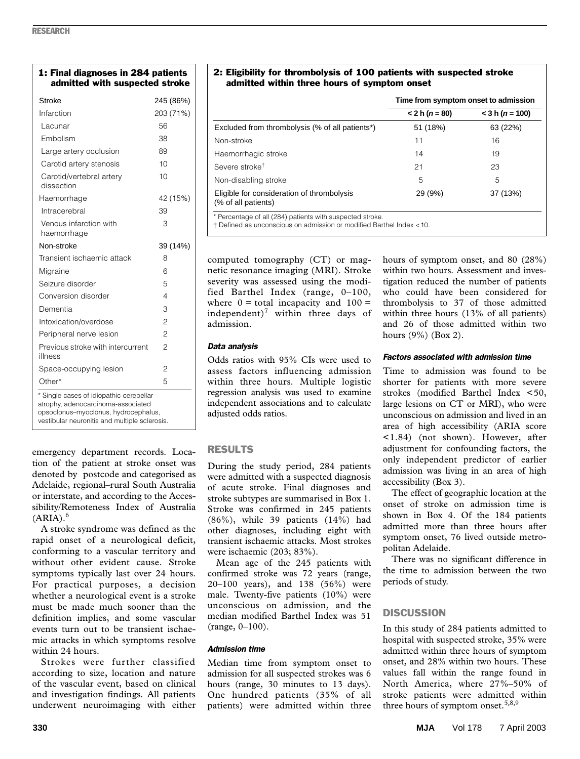| 1: Final diagnoses in 284 patients<br>admitted with suspected stroke                                                  |                |
|-----------------------------------------------------------------------------------------------------------------------|----------------|
| Stroke                                                                                                                | 245 (86%)      |
| Infarction                                                                                                            | 203 (71%)      |
| Lacunar                                                                                                               | 56             |
| Embolism                                                                                                              | 38             |
| Large artery occlusion                                                                                                | 89             |
| Carotid artery stenosis                                                                                               | 10             |
| Carotid/vertebral artery<br>dissection                                                                                | 10             |
| Haemorrhage                                                                                                           | 42 (15%)       |
| Intracerebral                                                                                                         | 39             |
| Venous infarction with<br>haemorrhage                                                                                 | 3              |
| Non-stroke                                                                                                            | 39 (14%)       |
| Transient ischaemic attack                                                                                            | 8              |
| Migraine                                                                                                              | 6              |
| Seizure disorder                                                                                                      | 5              |
| Conversion disorder                                                                                                   | 4              |
| Dementia                                                                                                              | 3              |
| Intoxication/overdose                                                                                                 | $\overline{c}$ |
| Peripheral nerve lesion                                                                                               | $\overline{c}$ |
| Previous stroke with intercurrent<br>illness                                                                          | $\overline{c}$ |
| Space-occupying lesion                                                                                                | 2              |
| Other*                                                                                                                | 5              |
| * Single cases of idiopathic cerebellar<br>atrophy, adenocarcinoma-associated<br>opsocionus-myocionus, hydrocephalus, |                |

vestibular neuronitis and multiple sclerosis.

emergency department records. Location of the patient at stroke onset was denoted by postcode and categorised as Adelaide, regional–rural South Australia or interstate, and according to the Accessibility/Remoteness Index of Australia  $(ARIA).<sup>6</sup>$ 

A stroke syndrome was defined as the rapid onset of a neurological deficit, conforming to a vascular territory and without other evident cause. Stroke symptoms typically last over 24 hours. For practical purposes, a decision whether a neurological event is a stroke must be made much sooner than the definition implies, and some vascular events turn out to be transient ischaemic attacks in which symptoms resolve within 24 hours.

Strokes were further classified according to size, location and nature of the vascular event, based on clinical and investigation findings. All patients underwent neuroimaging with either

## 2: Eligibility for thrombolysis of 100 patients with suspected stroke admitted within three hours of symptom onset

|                                                                   | Time from symptom onset to admission |                   |
|-------------------------------------------------------------------|--------------------------------------|-------------------|
|                                                                   | $< 2 h (n = 80)$                     | $<$ 3 h (n = 100) |
| Excluded from thrombolysis (% of all patients*)                   | 51 (18%)                             | 63 (22%)          |
| Non-stroke                                                        | 11                                   | 16                |
| Haemorrhagic stroke                                               | 14                                   | 19                |
| Severe stroke <sup>†</sup>                                        | 21                                   | 23                |
| Non-disabling stroke                                              | 5                                    | 5                 |
| Eligible for consideration of thrombolysis<br>(% of all patients) | 29 (9%)                              | 37 (13%)          |
| * Percentage of all (284) patients with suspected stroke.         |                                      |                   |

† Defined as unconscious on admission or modified Barthel Index <10.

computed tomography (CT) or magnetic resonance imaging (MRI). Stroke severity was assessed using the modified Barthel Index (range, 0–100, where  $0 =$  total incapacity and  $100 =$ independent)<sup>7</sup> within three days of admission.

## *Data analysis*

Odds ratios with 95% CIs were used to assess factors influencing admission within three hours. Multiple logistic regression analysis was used to examine independent associations and to calculate adjusted odds ratios.

# RESULTS

During the study period, 284 patients were admitted with a suspected diagnosis of acute stroke. Final diagnoses and stroke subtypes are summarised in Box 1. Stroke was confirmed in 245 patients (86%), while 39 patients (14%) had other diagnoses, including eight with transient ischaemic attacks. Most strokes were ischaemic (203; 83%).

Mean age of the 245 patients with confirmed stroke was 72 years (range, 20–100 years), and 138 (56%) were male. Twenty-five patients (10%) were unconscious on admission, and the median modified Barthel Index was 51 (range, 0–100).

# *Admission time*

Median time from symptom onset to admission for all suspected strokes was 6 hours (range, 30 minutes to 13 days). One hundred patients (35% of all patients) were admitted within three

hours of symptom onset, and 80 (28%) within two hours. Assessment and investigation reduced the number of patients who could have been considered for thrombolysis to 37 of those admitted within three hours (13% of all patients) and 26 of those admitted within two hours (9%) (Box 2).

# *Factors associated with admission time*

Time to admission was found to be shorter for patients with more severe strokes (modified Barthel Index <50, large lesions on CT or MRI), who were unconscious on admission and lived in an area of high accessibility (ARIA score <1.84) (not shown). However, after adjustment for confounding factors, the only independent predictor of earlier admission was living in an area of high accessibility (Box 3).

The effect of geographic location at the onset of stroke on admission time is shown in Box 4. Of the 184 patients admitted more than three hours after symptom onset, 76 lived outside metropolitan Adelaide.

There was no significant difference in the time to admission between the two periods of study.

# **DISCUSSION**

In this study of 284 patients admitted to hospital with suspected stroke, 35% were admitted within three hours of symptom onset, and 28% within two hours. These values fall within the range found in North America, where 27%–50% of stroke patients were admitted within three hours of symptom onset.<sup>5,8,9</sup>